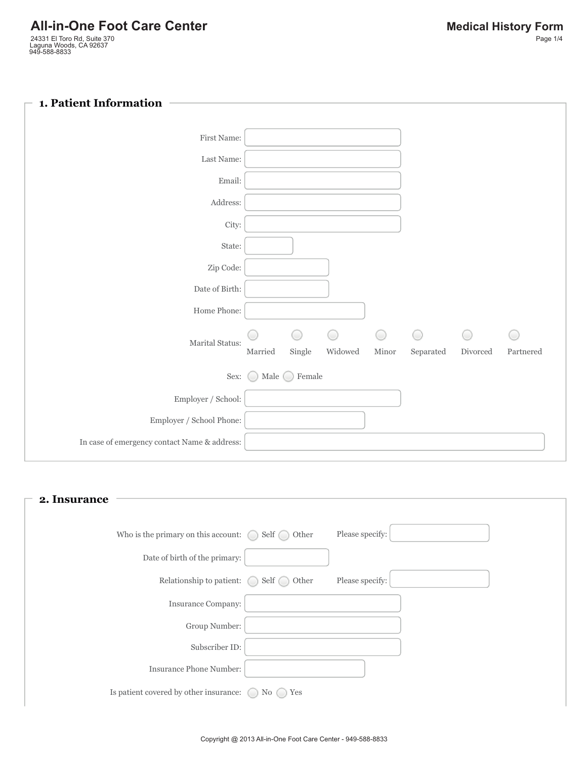### **1. Patient Information**

| First Name:                                  |                      |                         |         |              |            |          |           |
|----------------------------------------------|----------------------|-------------------------|---------|--------------|------------|----------|-----------|
| Last Name:                                   |                      |                         |         |              |            |          |           |
| Email:                                       |                      |                         |         |              |            |          |           |
| Address:                                     |                      |                         |         |              |            |          |           |
| City:                                        |                      |                         |         |              |            |          |           |
| State:                                       |                      |                         |         |              |            |          |           |
| Zip Code:                                    |                      |                         |         |              |            |          |           |
| Date of Birth:                               |                      |                         |         |              |            |          |           |
| Home Phone:                                  |                      |                         |         |              |            |          |           |
| Marital Status:                              |                      | O                       | O       | $\circ$      | $\bigcirc$ | 0        | C.        |
|                                              | $\rm{Married}$       | $\operatorname{Single}$ | Widowed | $\rm{Minor}$ | Separated  | Divorced | Partnered |
| Sex:                                         | Male $\bigcirc$<br>0 | Female                  |         |              |            |          |           |
| Employer / School:                           |                      |                         |         |              |            |          |           |
| $\operatorname{Employee}$ / School Phone:    |                      |                         |         |              |            |          |           |
| In case of emergency contact Name & address: |                      |                         |         |              |            |          |           |
|                                              |                      |                         |         |              |            |          |           |

# Who is the primary on this account:  $\bigcirc$  Self  $\bigcirc$  Other Please specify: Relationship to patient:  $\bigcirc$  Self  $\bigcirc$  Other Please specify: Is patient covered by other insurance:  $\bigcirc$  No  $\bigcirc$  Yes **2. Insurance** Date of birth of the primary: Insurance Company: Group Number: Subscriber ID: Insurance Phone Number: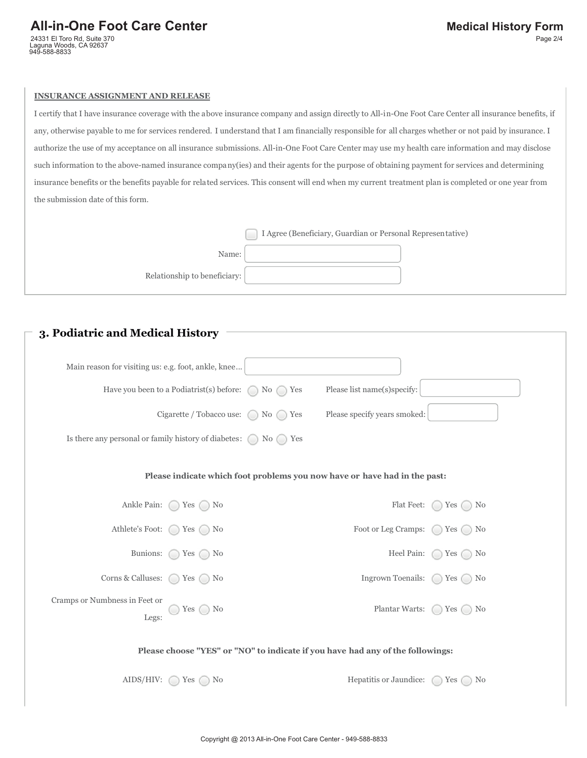### All-in-One Foot Care Center **Medical History Form**

24331 El Toro Rd, Suite 370 Laguna Woods, CA 92637 949-588-8833

#### **INSURANCE ASSIGNMENT AND RELEASE**

I certify that I have insurance coverage with the above insurance company and assign directly to All-in-One Foot Care Center all insurance benefits, if any, otherwise payable to me for services rendered. I understand that I am financially responsible for all charges whether or not paid by insurance. I authorize the use of my acceptance on all insurance submissions. All-in-One Foot Care Center may use my health care information and may disclose such information to the above-named insurance company(ies) and their agents for the purpose of obtaining payment for services and determining insurance benefits or the benefits payable for related services. This consent will end when my current treatment plan is completed or one year from the submission date of this form.

|                              | I Agree (Beneficiary, Guardian or Personal Representative) |  |
|------------------------------|------------------------------------------------------------|--|
| Name:                        |                                                            |  |
| Relationship to beneficiary: |                                                            |  |

### **3. Podiatric and Medical History**

| Main reason for visiting us: e.g. foot, ankle, knee                             | Have you been to a Podiatrist(s) before:                          | No.<br>Yes | Please list name(s)specify:                                               |                                          |
|---------------------------------------------------------------------------------|-------------------------------------------------------------------|------------|---------------------------------------------------------------------------|------------------------------------------|
|                                                                                 | Cigarette / Tobacco use: $\bigcap$ No $\bigcap$ Yes               |            | Please specify years smoked:                                              |                                          |
| Is there any personal or family history of diabetes: $\bigcap$ No $\bigcap$ Yes |                                                                   |            |                                                                           |                                          |
|                                                                                 |                                                                   |            | Please indicate which foot problems you now have or have had in the past: |                                          |
|                                                                                 | Ankle Pain: $\bigcirc$ Yes $\bigcirc$ No                          |            |                                                                           | Flat Feet: $\bigcap$ Yes $\bigcap$<br>N0 |
| Athlete's Foot:                                                                 | Yes<br>No                                                         |            | Foot or Leg Cramps:                                                       | $\bigcap$ Yes $\bigcap$<br>No            |
| Bunions:                                                                        | Yes $\bigcap$ No<br>$\left( \begin{array}{c} \end{array} \right)$ |            |                                                                           | Heel Pain: $\bigcap$ Yes $\bigcap$<br>No |
| Corns & Calluses:                                                               | Yes $\bigcap$<br>No                                               |            | Ingrown Toenails:                                                         | Yes $\bigcap$<br>No                      |
| Cramps or Numbness in Feet or<br>Legs:                                          | No<br>Yes                                                         |            | Plantar Warts:                                                            | $\bigcirc$ Yes $\bigcirc$<br>No          |
| Please choose "YES" or "NO" to indicate if you have had any of the followings:  |                                                                   |            |                                                                           |                                          |
| AIDS/HIV:                                                                       | Yes $\bigcap$ No                                                  |            | Hepatitis or Jaundice: $\bigcap$ Yes $\bigcap$                            | No                                       |
|                                                                                 |                                                                   |            |                                                                           |                                          |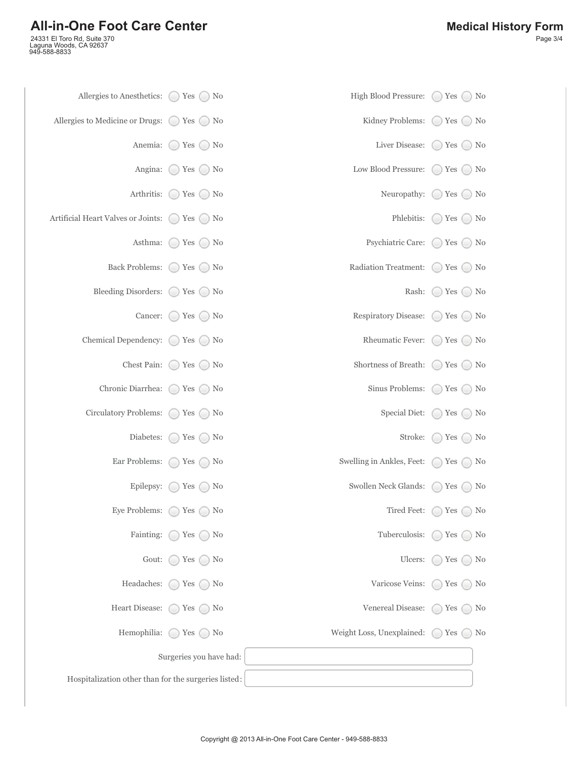## **All-in-One Foot Care Center**

24331 El Toro Rd, Suite 370 Laguna Woods, CA 92637 949-588-8833

| Allergies to Anesthetics: $\bigcirc$ Yes $\bigcirc$ No       |                                      | High Blood Pressure:      | $\left(\begin{smallmatrix} 1\\ 1\end{smallmatrix}\right)$ | Yes $\bigcirc$ No |  |
|--------------------------------------------------------------|--------------------------------------|---------------------------|-----------------------------------------------------------|-------------------|--|
| Allergies to Medicine or Drugs: $\bigcirc$ Yes $\bigcirc$ No |                                      | Kidney Problems:          | $\bigcirc$ Yes $\bigcirc$ No                              |                   |  |
| Anemia:                                                      | $\bigcirc$ Yes $\bigcirc$ No         | Liver Disease:            | $\bigcirc$ Yes $\bigcirc$ No                              |                   |  |
|                                                              | Angina: $\bigcirc$ Yes $\bigcirc$ No | Low Blood Pressure:       | $\bigcirc$ Yes $\bigcirc$ No                              |                   |  |
| Arthritis:                                                   | $\bigcirc$ Yes $\bigcirc$ No         | Neuropathy:               | $\left( \quad \right)$                                    | Yes $\bigcirc$ No |  |
| Artificial Heart Valves or Joints: ◯ Yes ◯ No                |                                      | Phlebitis:                | ( )                                                       | Yes $\bigcirc$ No |  |
| Asthma:                                                      | $\bigcirc$ Yes $\bigcirc$ No         | Psychiatric Care:         | $\left( \quad \right)$                                    | Yes $\bigcirc$ No |  |
|                                                              | Back Problems: ◯ Yes ◯ No            | Radiation Treatment:      | $\left( \quad \right)$                                    | Yes $\bigcirc$ No |  |
| Bleeding Disorders: $\bigcirc$ Yes $\bigcirc$ No             |                                      | Rash:                     | ( )                                                       | Yes $\bigcirc$ No |  |
|                                                              | Cancer: $\bigcirc$ Yes $\bigcirc$ No | Respiratory Disease:      | $\left( \quad \right)$                                    | Yes $\bigcirc$ No |  |
| Chemical Dependency: $\bigcirc$ Yes $\bigcirc$ No            |                                      | Rheumatic Fever:          | $()$ Yes $()$ No                                          |                   |  |
| Chest Pain: $\bigcirc$                                       | Yes $\bigcirc$ No                    | Shortness of Breath:      | $\left( \quad \right)$                                    | Yes $\bigcirc$ No |  |
| Chronic Diarrhea:                                            | Yes $\bigcirc$ No                    | Sinus Problems:           |                                                           | Yes $\bigcirc$ No |  |
| Circulatory Problems: O                                      | Yes $\bigcap$ No                     | Special Diet:             | Yes                                                       | $\bigcirc$ No     |  |
| Diabetes:                                                    | Yes $\bigcirc$ No<br>( )             | Stroke:                   | 0                                                         | Yes $\bigcirc$ No |  |
| Ear Problems:                                                | Yes<br>N <sub>0</sub><br>( )         | Swelling in Ankles, Feet: | Yes<br>( )                                                | $\bigcirc$ No     |  |
| Epilepsy:                                                    | Yes $\Box$<br>N <sub>0</sub>         | Swollen Neck Glands:      | Yes                                                       | $\Box$ No         |  |
| Eye Problems: $\bigcirc$                                     | Yes<br>N <sub>0</sub><br>(           | Tired Feet:               | Yes<br>$(\ )$                                             | No                |  |
| Fainting:                                                    | Yes<br>N <sub>0</sub>                | Tuberculosis:             | Yes                                                       | N <sub>0</sub>    |  |
| Gout:                                                        | Yes<br>N <sub>0</sub>                | Ulcers:                   | Yes                                                       | No                |  |
| Headaches:                                                   | $\gamma$ Yes (<br>  No               | Varicose Veins:           | Yes                                                       | N <sub>0</sub>    |  |
| Heart Disease:                                               | Yes $\bigcap$<br>No                  | Venereal Disease:         | Yes                                                       | N <sub>0</sub>    |  |
| Hemophilia:                                                  | Yes (<br>N <sub>0</sub>              | Weight Loss, Unexplained: | Yes                                                       | No                |  |
|                                                              | Surgeries you have had:              |                           |                                                           |                   |  |
| Hospitalization other than for the surgeries listed:         |                                      |                           |                                                           |                   |  |